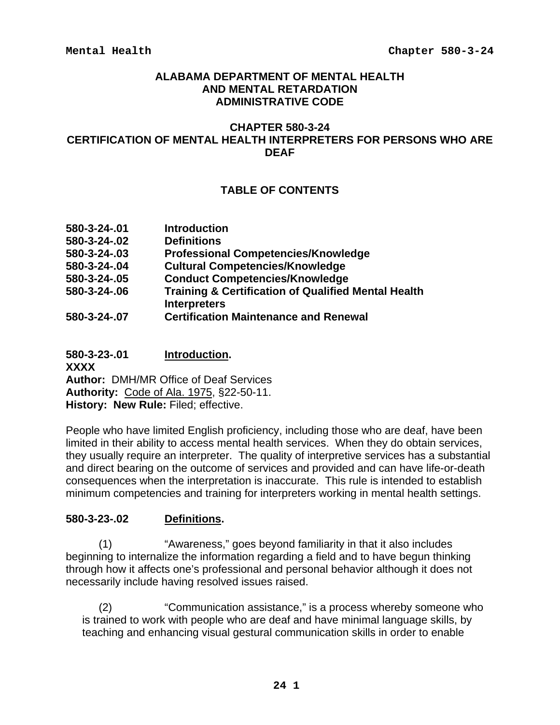### **ALABAMA DEPARTMENT OF MENTAL HEALTH AND MENTAL RETARDATION ADMINISTRATIVE CODE**

### **CHAPTER 580-3-24 CERTIFICATION OF MENTAL HEALTH INTERPRETERS FOR PERSONS WHO ARE DEAF**

# **TABLE OF CONTENTS**

| 580-3-24-.01 | <b>Introduction</b>                                                                   |
|--------------|---------------------------------------------------------------------------------------|
| 580-3-24-.02 | <b>Definitions</b>                                                                    |
| 580-3-24-.03 | <b>Professional Competencies/Knowledge</b>                                            |
| 580-3-24-.04 | <b>Cultural Competencies/Knowledge</b>                                                |
| 580-3-24-.05 | <b>Conduct Competencies/Knowledge</b>                                                 |
| 580-3-24-.06 | <b>Training &amp; Certification of Qualified Mental Health</b><br><b>Interpreters</b> |
| 580-3-24-.07 | <b>Certification Maintenance and Renewal</b>                                          |

**580-3-23-.01 Introduction. XXXX Author:** DMH/MR Office of Deaf Services **Authority:** Code of Ala. 1975, §22-50-11. **History: New Rule:** Filed; effective.

People who have limited English proficiency, including those who are deaf, have been limited in their ability to access mental health services. When they do obtain services, they usually require an interpreter. The quality of interpretive services has a substantial and direct bearing on the outcome of services and provided and can have life-or-death consequences when the interpretation is inaccurate. This rule is intended to establish minimum competencies and training for interpreters working in mental health settings.

### **580-3-23-.02 Definitions.**

 (1) "Awareness," goes beyond familiarity in that it also includes beginning to internalize the information regarding a field and to have begun thinking through how it affects one's professional and personal behavior although it does not necessarily include having resolved issues raised.

 (2) "Communication assistance," is a process whereby someone who is trained to work with people who are deaf and have minimal language skills, by teaching and enhancing visual gestural communication skills in order to enable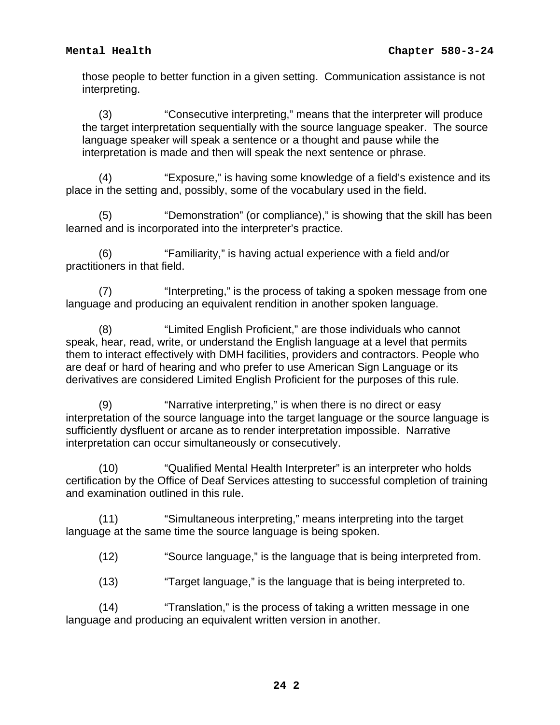those people to better function in a given setting. Communication assistance is not interpreting.

 (3) "Consecutive interpreting," means that the interpreter will produce the target interpretation sequentially with the source language speaker. The source language speaker will speak a sentence or a thought and pause while the interpretation is made and then will speak the next sentence or phrase.

 (4) "Exposure," is having some knowledge of a field's existence and its place in the setting and, possibly, some of the vocabulary used in the field.

 (5) "Demonstration" (or compliance)," is showing that the skill has been learned and is incorporated into the interpreter's practice.

 (6) "Familiarity," is having actual experience with a field and/or practitioners in that field.

 (7) "Interpreting," is the process of taking a spoken message from one language and producing an equivalent rendition in another spoken language.

 (8) "Limited English Proficient," are those individuals who cannot speak, hear, read, write, or understand the English language at a level that permits them to interact effectively with DMH facilities, providers and contractors. People who are deaf or hard of hearing and who prefer to use American Sign Language or its derivatives are considered Limited English Proficient for the purposes of this rule.

 (9) "Narrative interpreting," is when there is no direct or easy interpretation of the source language into the target language or the source language is sufficiently dysfluent or arcane as to render interpretation impossible. Narrative interpretation can occur simultaneously or consecutively.

 (10) "Qualified Mental Health Interpreter" is an interpreter who holds certification by the Office of Deaf Services attesting to successful completion of training and examination outlined in this rule.

 (11) "Simultaneous interpreting," means interpreting into the target language at the same time the source language is being spoken.

(12) "Source language," is the language that is being interpreted from.

(13) "Target language," is the language that is being interpreted to.

 (14) "Translation," is the process of taking a written message in one language and producing an equivalent written version in another.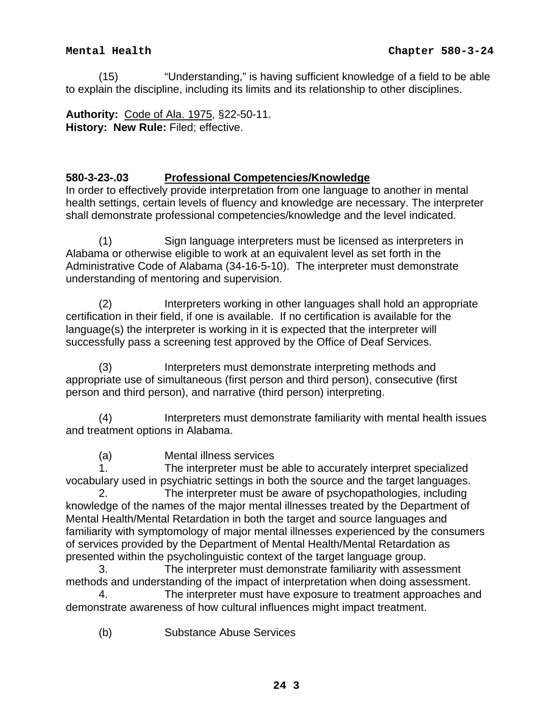(15) "Understanding," is having sufficient knowledge of a field to be able to explain the discipline, including its limits and its relationship to other disciplines.

**Authority:** Code of Ala. 1975, §22-50-11. **History: New Rule:** Filed; effective.

# **580-3-23-.03 Professional Competencies/Knowledge**

In order to effectively provide interpretation from one language to another in mental health settings, certain levels of fluency and knowledge are necessary. The interpreter shall demonstrate professional competencies/knowledge and the level indicated.

 (1) Sign language interpreters must be licensed as interpreters in Alabama or otherwise eligible to work at an equivalent level as set forth in the Administrative Code of Alabama (34-16-5-10). The interpreter must demonstrate understanding of mentoring and supervision.

 (2) Interpreters working in other languages shall hold an appropriate certification in their field, if one is available. If no certification is available for the language(s) the interpreter is working in it is expected that the interpreter will successfully pass a screening test approved by the Office of Deaf Services.

 (3) Interpreters must demonstrate interpreting methods and appropriate use of simultaneous (first person and third person), consecutive (first person and third person), and narrative (third person) interpreting.

 (4) Interpreters must demonstrate familiarity with mental health issues and treatment options in Alabama.

(a) Mental illness services

 1. The interpreter must be able to accurately interpret specialized vocabulary used in psychiatric settings in both the source and the target languages.

 2. The interpreter must be aware of psychopathologies, including knowledge of the names of the major mental illnesses treated by the Department of Mental Health/Mental Retardation in both the target and source languages and familiarity with symptomology of major mental illnesses experienced by the consumers of services provided by the Department of Mental Health/Mental Retardation as presented within the psycholinguistic context of the target language group.

 3. The interpreter must demonstrate familiarity with assessment methods and understanding of the impact of interpretation when doing assessment.

 4. The interpreter must have exposure to treatment approaches and demonstrate awareness of how cultural influences might impact treatment.

(b) Substance Abuse Services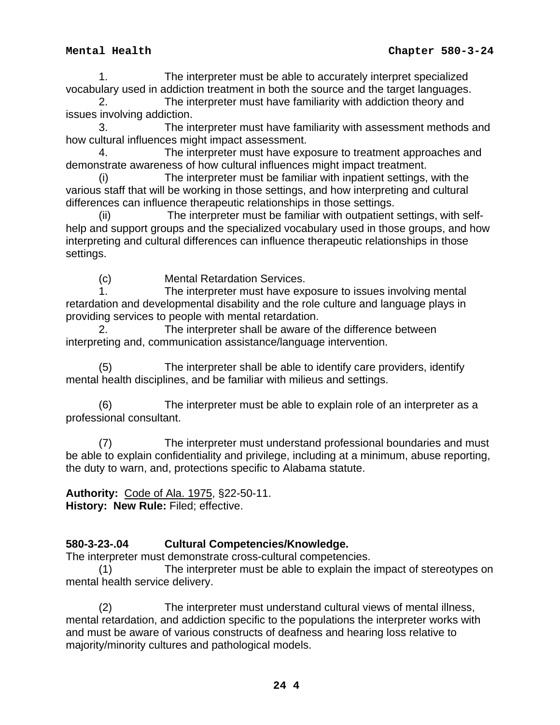1. The interpreter must be able to accurately interpret specialized vocabulary used in addiction treatment in both the source and the target languages.

 2. The interpreter must have familiarity with addiction theory and issues involving addiction.

 3. The interpreter must have familiarity with assessment methods and how cultural influences might impact assessment.

 4. The interpreter must have exposure to treatment approaches and demonstrate awareness of how cultural influences might impact treatment.

 (i) The interpreter must be familiar with inpatient settings, with the various staff that will be working in those settings, and how interpreting and cultural differences can influence therapeutic relationships in those settings.

 (ii) The interpreter must be familiar with outpatient settings, with selfhelp and support groups and the specialized vocabulary used in those groups, and how interpreting and cultural differences can influence therapeutic relationships in those settings.

(c) Mental Retardation Services.

 1. The interpreter must have exposure to issues involving mental retardation and developmental disability and the role culture and language plays in providing services to people with mental retardation.

 2. The interpreter shall be aware of the difference between interpreting and, communication assistance/language intervention.

 (5) The interpreter shall be able to identify care providers, identify mental health disciplines, and be familiar with milieus and settings.

 (6) The interpreter must be able to explain role of an interpreter as a professional consultant.

 (7) The interpreter must understand professional boundaries and must be able to explain confidentiality and privilege, including at a minimum, abuse reporting, the duty to warn, and, protections specific to Alabama statute.

**Authority:** Code of Ala. 1975, §22-50-11. **History: New Rule:** Filed; effective.

# **580-3-23-.04 Cultural Competencies/Knowledge.**

The interpreter must demonstrate cross-cultural competencies.

 (1) The interpreter must be able to explain the impact of stereotypes on mental health service delivery.

 (2) The interpreter must understand cultural views of mental illness, mental retardation, and addiction specific to the populations the interpreter works with and must be aware of various constructs of deafness and hearing loss relative to majority/minority cultures and pathological models.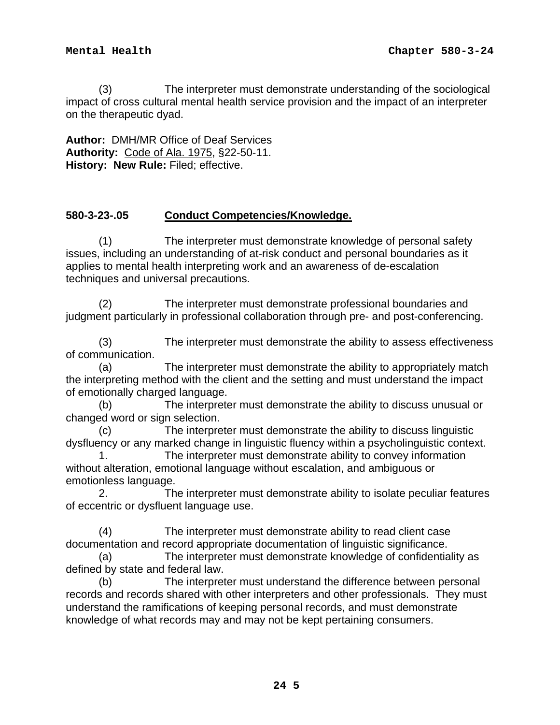(3) The interpreter must demonstrate understanding of the sociological impact of cross cultural mental health service provision and the impact of an interpreter on the therapeutic dyad.

**Author:** DMH/MR Office of Deaf Services **Authority:** Code of Ala. 1975, §22-50-11. **History: New Rule:** Filed; effective.

### **580-3-23-.05 Conduct Competencies/Knowledge.**

 (1) The interpreter must demonstrate knowledge of personal safety issues, including an understanding of at-risk conduct and personal boundaries as it applies to mental health interpreting work and an awareness of de-escalation techniques and universal precautions.

 (2) The interpreter must demonstrate professional boundaries and judgment particularly in professional collaboration through pre- and post-conferencing.

 (3) The interpreter must demonstrate the ability to assess effectiveness of communication.

 (a) The interpreter must demonstrate the ability to appropriately match the interpreting method with the client and the setting and must understand the impact of emotionally charged language.

 (b) The interpreter must demonstrate the ability to discuss unusual or changed word or sign selection.

 (c) The interpreter must demonstrate the ability to discuss linguistic dysfluency or any marked change in linguistic fluency within a psycholinguistic context.

 1. The interpreter must demonstrate ability to convey information without alteration, emotional language without escalation, and ambiguous or emotionless language.

 2. The interpreter must demonstrate ability to isolate peculiar features of eccentric or dysfluent language use.

 (4) The interpreter must demonstrate ability to read client case documentation and record appropriate documentation of linguistic significance.

 (a) The interpreter must demonstrate knowledge of confidentiality as defined by state and federal law.

 (b) The interpreter must understand the difference between personal records and records shared with other interpreters and other professionals. They must understand the ramifications of keeping personal records, and must demonstrate knowledge of what records may and may not be kept pertaining consumers.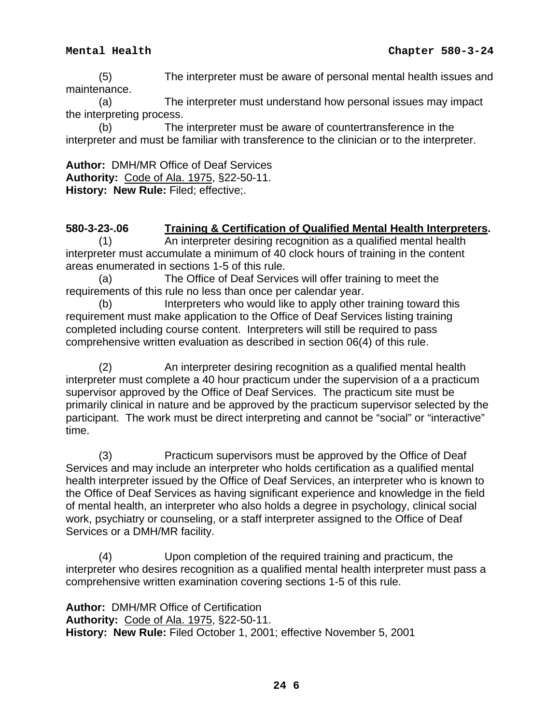(5) The interpreter must be aware of personal mental health issues and maintenance.

 (a) The interpreter must understand how personal issues may impact the interpreting process.

 (b) The interpreter must be aware of countertransference in the interpreter and must be familiar with transference to the clinician or to the interpreter.

**Author:** DMH/MR Office of Deaf Services **Authority:** Code of Ala. 1975, §22-50-11. **History: New Rule:** Filed; effective;.

## **580-3-23-.06 Training & Certification of Qualified Mental Health Interpreters.**

 (1) An interpreter desiring recognition as a qualified mental health interpreter must accumulate a minimum of 40 clock hours of training in the content areas enumerated in sections 1-5 of this rule.

 (a) The Office of Deaf Services will offer training to meet the requirements of this rule no less than once per calendar year.

 (b) Interpreters who would like to apply other training toward this requirement must make application to the Office of Deaf Services listing training completed including course content. Interpreters will still be required to pass comprehensive written evaluation as described in section 06(4) of this rule.

 (2) An interpreter desiring recognition as a qualified mental health interpreter must complete a 40 hour practicum under the supervision of a a practicum supervisor approved by the Office of Deaf Services. The practicum site must be primarily clinical in nature and be approved by the practicum supervisor selected by the participant. The work must be direct interpreting and cannot be "social" or "interactive" time.

 (3) Practicum supervisors must be approved by the Office of Deaf Services and may include an interpreter who holds certification as a qualified mental health interpreter issued by the Office of Deaf Services, an interpreter who is known to the Office of Deaf Services as having significant experience and knowledge in the field of mental health, an interpreter who also holds a degree in psychology, clinical social work, psychiatry or counseling, or a staff interpreter assigned to the Office of Deaf Services or a DMH/MR facility.

 (4) Upon completion of the required training and practicum, the interpreter who desires recognition as a qualified mental health interpreter must pass a comprehensive written examination covering sections 1-5 of this rule.

**Author:** DMH/MR Office of Certification **Authority:** Code of Ala. 1975, §22-50-11. **History: New Rule:** Filed October 1, 2001; effective November 5, 2001